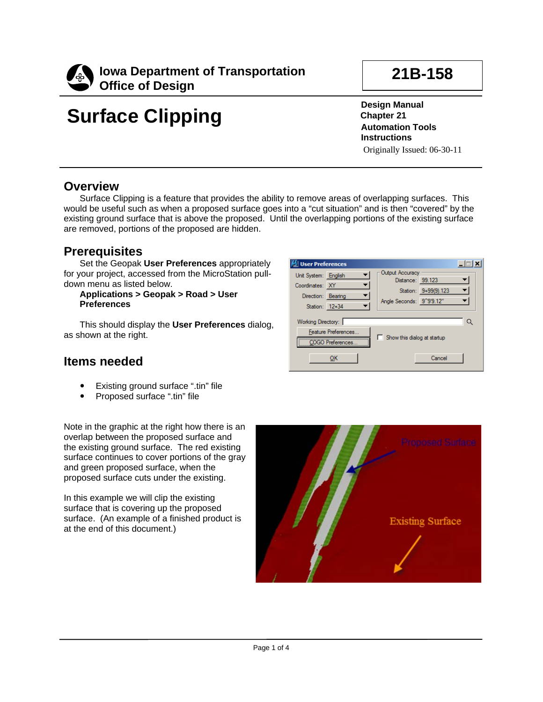

# **Surface Clipping**

**21B-158**

그미지

 $\blacktriangledown$ 

┯┆

▾╽

Q

**Design Manual Chapter 21 Automation Tools Instructions** Originally Issued: 06-30-11

Output Accuracy

Distance: 99.123

Angle Seconds: 9^9'9.12"

 $\Box$  Show this dialog at startup

Station: 9+99(9).123

Cancel

 $\blacktriangledown$ 

▼∣

÷

## **Overview**

Surface Clipping is a feature that provides the ability to remove areas of overlapping surfaces. This would be useful such as when a proposed surface goes into a "cut situation" and is then "covered" by the existing ground surface that is above the proposed. Until the overlapping portions of the existing surface are removed, portions of the proposed are hidden.

User Preferences

Unit System: English

Direction: Bearing

Station: 12+34

COGO Preferences  $QK$ 

Working Directory: Feature Preferences

Coordinates: XY

## **Prerequisites**

Set the Geopak **User Preferences** appropriately for your project, accessed from the MicroStation pulldown menu as listed below.

**Applications > Geopak > Road > User Preferences** 

This should display the **User Preferences** dialog, as shown at the right.

## **Items needed**

- Existing ground surface ".tin" file
- Proposed surface ".tin" file

Note in the graphic at the right how there is an overlap between the proposed surface and the existing ground surface. The red existing surface continues to cover portions of the gray and green proposed surface, when the proposed surface cuts under the existing.

In this example we will clip the existing surface that is covering up the proposed surface. (An example of a finished product is at the end of this document.)

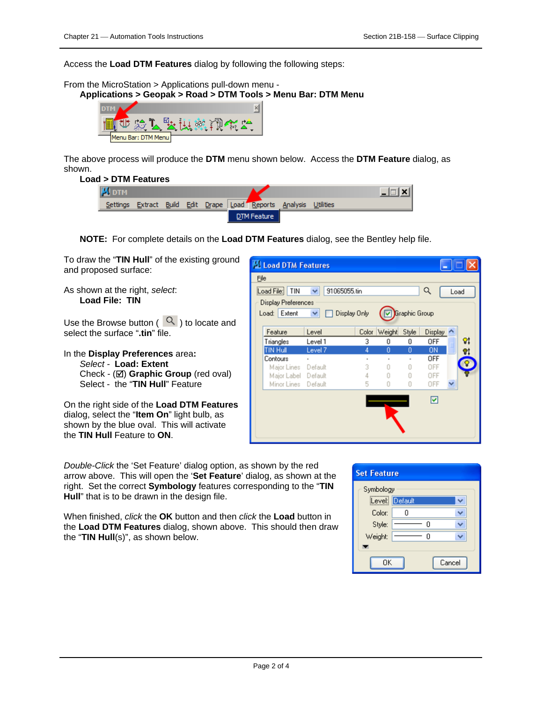Q

Display ^

OFF

**DN** 

OFF

OFF

OFF

OFF ☑

Graphic Group

0

 $\overline{0}$ 

 $\,0$ 

 $\mathbf 0$ 

 $\theta$ 

Ø

Color Weight Style

0

n

0

 $\overline{0}$ 

0

3

 $\overline{A}$ 

3

4

5

Load

 $Q<sub>1</sub>$ 

Φt

Access the **Load DTM Features** dialog by following the following steps:

#### From the MicroStation > Applications pull-down menu -

## **Applications > Geopak > Road > DTM Tools > Menu Bar: DTM Menu**



The above process will produce the **DTM** menu shown below. Access the **DTM Feature** dialog, as shown.

#### **Load > DTM Features M** DTM \_ |□ | × | Settings Extract Build Edit Drape Load Reports Analysis Utilities DTM Feature

**NOTE:** For complete details on the **Load DTM Features** dialog, see the Bentley help file.

Eile

To draw the "**TIN Hull**" of the existing ground and proposed surface:

As shown at the right, *select*: **Load File: TIN**

Use the Browse button  $\begin{pmatrix} 0 & 1 \\ 0 & 1 \end{pmatrix}$  to locate and select the surface "**.tin**" file.

In the **Display Preferences** area**:** *Select -* **Load: Extent** Check - ( $\boxtimes$ ) **Graphic Group** (red oval) Select - the "**TIN Hull**" Feature

On the right side of the **Load DTM Features** dialog, select the "**Item On**" light bulb, as shown by the blue oval. This will activate the **TIN Hull** Feature to **ON**.

Major Lines Default

Major Label Default

Minor Lines Default

**B** Load DTM Features

Load File: TIN

Feature

Triangles

**TIN Hull** 

Contours

**Display Preferences** Load: Extent

 $\vee$  91065055.tin

 $\vee$   $\Box$  Display Only

Level

Level 1

Level 7

*Double-Click* the 'Set Feature' dialog option, as shown by the red arrow above. This will open the '**Set Feature**' dialog, as shown at the right. Set the correct **Symbology** features corresponding to the "**TIN Hull**" that is to be drawn in the design file.

When finished, *click* the **OK** button and then *click* the **Load** button in the **Load DTM Features** dialog, shown above. This should then draw the "**TIN Hull**(s)", as shown below.

| <b>Set Feature</b> |                |   |  |  |
|--------------------|----------------|---|--|--|
| Symbology          |                |   |  |  |
|                    | Level: Default |   |  |  |
| Color:             | N              |   |  |  |
| Style:             |                | Ω |  |  |
| Weight:            |                | ۵ |  |  |
|                    |                |   |  |  |
| Cancel<br>OΚ       |                |   |  |  |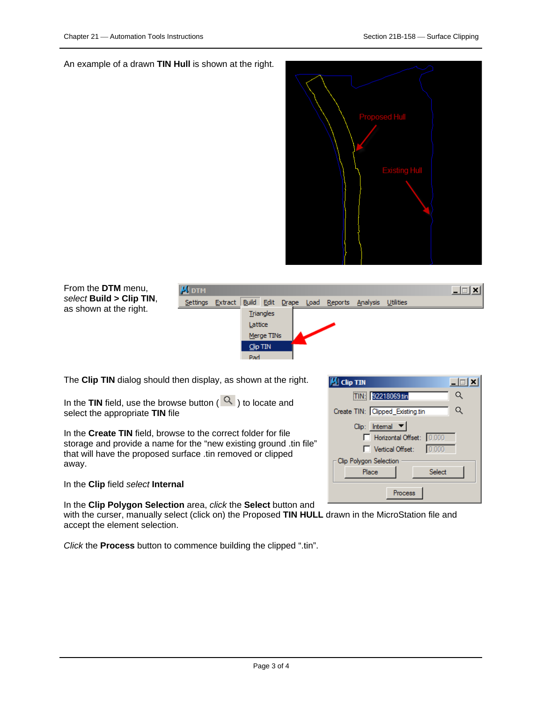#### An example of a drawn **TIN Hull** is shown at the right.





The **Clip TIN** dialog should then display, as shown at the right.

| In the TIN field, use the browse button ( $\sqrt{2}$ ) to locate and |
|----------------------------------------------------------------------|
| select the appropriate TIN file                                      |

In the **Create TIN** field, browse to the correct folder for file storage and provide a name for the "new existing ground .tin file" that will have the proposed surface .tin removed or clipped away.

In the **Clip** field *select* **Internal**

In the **Clip Polygon Selection** area, *click* the **Select** button and

with the curser, manually select (click on) the Proposed **TIN HULL** drawn in the MicroStation file and accept the element selection.

*Click* the **Process** button to commence building the clipped ".tin".

| <b>Clip TIN</b>                       |
|---------------------------------------|
| TIN: 92218069.tin                     |
| Create TIN: Clipped_Existing.tin<br>Q |
| $Clip: Internal \n~ \n~$              |
| Horizontal Offset: 0.000              |
| 0.000<br>Vertical Offset:             |
| Clip Polygon Selection                |
| Select<br>Place                       |
| Process                               |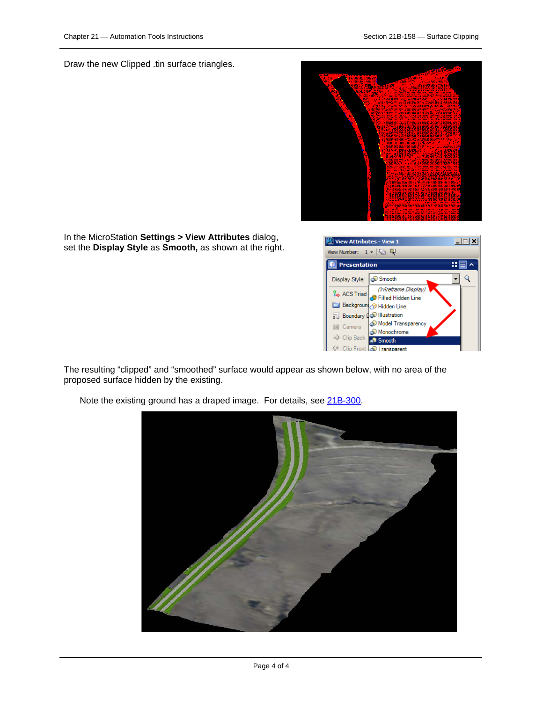#### Draw the new Clipped .tin surface triangles.





In the MicroStation **Settings > View Attributes** dialog, set the **Display Style** as **Smooth,** as shown at the right.

The resulting "clipped" and "smoothed" surface would appear as shown below, with no area of the proposed surface hidden by the existing.



Note the existing ground has a draped image. For details, see 21B-300.